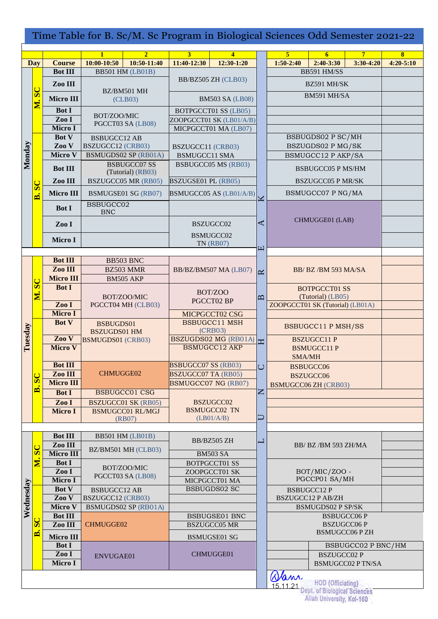| Time Table for B. Sc/M. Sc Program in Biological Sciences Odd Semester 2021-22 |                           |                             |                                                 |                                  |                                                                    |                                 |                                               |                                                                                             |                           |                         |               |
|--------------------------------------------------------------------------------|---------------------------|-----------------------------|-------------------------------------------------|----------------------------------|--------------------------------------------------------------------|---------------------------------|-----------------------------------------------|---------------------------------------------------------------------------------------------|---------------------------|-------------------------|---------------|
|                                                                                |                           |                             | $\mathbf{1}$                                    | 2 <sup>1</sup>                   | 3 <sup>1</sup>                                                     | $\overline{\mathbf{4}}$         |                                               | $\overline{5}$                                                                              | 6                         | $\overline{7}$          | $\bf{8}$      |
|                                                                                | <b>Day</b>                | <b>Course</b>               | 10:00-10:50                                     | 10:50-11:40                      | 11:40-12:30                                                        | $12:30-1:20$                    |                                               | $1:50-2:40$                                                                                 | $2:40-3:30$               | $3:30-4:20$             | $4:20 - 5:10$ |
|                                                                                |                           | <b>Bot III</b>              | <b>BB501 HM (LB01B)</b>                         |                                  |                                                                    |                                 |                                               |                                                                                             | BB591 HM/SS               |                         |               |
|                                                                                |                           | Zoo III                     |                                                 |                                  | BB/BZ505 ZH (CLB03)                                                |                                 |                                               | BZ591 MH/SK                                                                                 |                           |                         |               |
|                                                                                | ${\bf SC}$                |                             | BZ/BM501 MH<br>(CLB03)                          |                                  | <b>BM503 SA (LB08)</b>                                             |                                 |                                               |                                                                                             | BM591 MH/SA               |                         |               |
|                                                                                | Ń.                        | Micro III                   |                                                 |                                  |                                                                    |                                 |                                               |                                                                                             |                           |                         |               |
|                                                                                |                           | <b>Bot I</b>                | BOT/ZOO/MIC                                     |                                  | <b>BOTPGCCT01 SS (LB05)</b>                                        |                                 |                                               |                                                                                             |                           |                         |               |
|                                                                                |                           | Zoo I                       | PGCCT03 SA (LB08)<br><b>BSBUGCC12 AB</b>        |                                  | ZOOPGCCT01 SK (LB01/A/B)<br>MICPGCCT01 MA (LB07)                   |                                 |                                               |                                                                                             |                           |                         |               |
|                                                                                |                           | Micro I<br><b>Bot V</b>     |                                                 |                                  |                                                                    |                                 |                                               | BSBUGDS02 P SC/MH                                                                           |                           |                         |               |
|                                                                                |                           | Zoo V                       | <b>BSZUGCC12 (CRB03)</b>                        |                                  | BSZUGCC11 (CRB03)                                                  |                                 |                                               | BSZUGDS02 P MG/SK                                                                           |                           |                         |               |
| Monday                                                                         |                           | <b>Micro V</b>              | <b>BSMUGDS02 SP (RB01A)</b>                     |                                  | <b>BSMUGCC11 SMA</b>                                               |                                 |                                               |                                                                                             | <b>BSMUGCC12 P AKP/SA</b> |                         |               |
|                                                                                |                           |                             | <b>BSBUGCC07 SS</b><br>(Tutorial) (RB03)        |                                  | <b>BSBUGCC05 MS (RB03)</b>                                         |                                 |                                               |                                                                                             |                           |                         |               |
|                                                                                |                           | <b>Bot III</b>              |                                                 |                                  |                                                                    |                                 |                                               | <b>BSBUGCC05 P MS/HM</b>                                                                    |                           |                         |               |
|                                                                                | $\sigma$                  | Zoo III                     | <b>BSZUGCC05 MR (RB05)</b>                      |                                  | BSZUGSE01 PL (RB05)                                                |                                 |                                               |                                                                                             | <b>BSZUGCC05 P MR/SK</b>  |                         |               |
|                                                                                | <u>ni</u>                 | Micro III                   | <b>BSMUGSE01 SG (RB07)</b>                      |                                  | BSMUGCC05 AS (LB01/A/B)                                            |                                 | K                                             |                                                                                             | BSMUGCC07 P NG/MA         |                         |               |
|                                                                                |                           | <b>Bot I</b>                | BSBUGCC02                                       |                                  |                                                                    |                                 |                                               |                                                                                             |                           |                         |               |
|                                                                                |                           |                             | ${\rm BNC}$                                     |                                  |                                                                    |                                 |                                               |                                                                                             |                           |                         |               |
|                                                                                |                           | Zoo I                       |                                                 |                                  | BSZUGCC02<br>BSMUGCC02                                             |                                 | ⋖                                             |                                                                                             | CHMUGGE01 (LAB)           |                         |               |
|                                                                                |                           | Micro I                     |                                                 |                                  |                                                                    |                                 |                                               |                                                                                             |                           |                         |               |
|                                                                                |                           |                             |                                                 |                                  |                                                                    | <b>TN (RB07)</b>                | $\boxed{1}$                                   |                                                                                             |                           |                         |               |
|                                                                                |                           | <b>Bot III</b>              | BB503 BNC<br>BZ503 MMR<br>BM505 AKP             |                                  | BB/BZ/BM507 MA (LB07)                                              |                                 |                                               |                                                                                             |                           |                         |               |
|                                                                                |                           | Zoo III                     |                                                 |                                  |                                                                    |                                 |                                               |                                                                                             | BB/BZ/BM 593 MA/SA        |                         |               |
|                                                                                |                           | <b>Micro III</b>            |                                                 |                                  |                                                                    |                                 | $\approx$                                     |                                                                                             |                           |                         |               |
|                                                                                | $\overline{\mathbf{S}}$   | <b>Bot I</b>                | BOT/ZOO/MIC<br>PGCCT04 MH (CLB03)               |                                  | BOT/ZOO<br>PGCCT02 BP                                              |                                 | $\mathbf{p}$                                  | <b>BOTPGCCT01 SS</b>                                                                        |                           |                         |               |
|                                                                                | $\overline{\mathbf{M}}$ . |                             |                                                 |                                  |                                                                    |                                 |                                               | (Tutorial) (LB05)                                                                           |                           |                         |               |
|                                                                                |                           | Zoo I                       |                                                 |                                  |                                                                    |                                 |                                               | ZOOPGCCT01 SK (Tutorial) (LB01A)                                                            |                           |                         |               |
|                                                                                |                           | Micro I                     |                                                 |                                  |                                                                    | MICPGCCT02 CSG                  |                                               |                                                                                             |                           |                         |               |
|                                                                                |                           | <b>Bot V</b>                | BSBUGDS01                                       |                                  |                                                                    | <b>BSBUGCC11 MSH</b><br>(CRB03) |                                               |                                                                                             | <b>BSBUGCC11 P MSH/SS</b> |                         |               |
| Tuesday                                                                        |                           | Zoo V                       | <b>BSZUGDS01 HM</b><br><b>BSMUGDS01 (CRB03)</b> |                                  |                                                                    | BSZUGDS02 MG (RB01A)            |                                               |                                                                                             | <b>BSZUGCC11 P</b>        |                         |               |
|                                                                                |                           | <b>Micro V</b>              |                                                 |                                  | <b>BSMUGCC12 AKP</b>                                               |                                 |                                               |                                                                                             | <b>BSMUGCC11P</b>         |                         |               |
|                                                                                |                           |                             |                                                 |                                  |                                                                    |                                 |                                               | SMA/MH                                                                                      |                           |                         |               |
|                                                                                |                           | <b>Bot III</b>              | <b>CHMUGGE02</b><br><b>BSBUGCC01 CSG</b>        |                                  | <b>BSBUGCC07 SS (RB03)</b>                                         |                                 | $\overline{C}$                                | <b>BSBUGCC06</b><br><b>BSZUGCC06</b><br><b>BSMUGCC06 ZH (CRB03)</b>                         |                           |                         |               |
|                                                                                | ${\bf S}$                 | Zoo III<br><b>Micro III</b> |                                                 |                                  | <b>BSZUGCC07 TA (RB05)</b><br>BSMUGCC07 NG (RB07)                  |                                 |                                               |                                                                                             |                           |                         |               |
|                                                                                | $\blacksquare$            | <b>Bot I</b>                |                                                 |                                  |                                                                    |                                 | Z                                             |                                                                                             |                           |                         |               |
|                                                                                |                           | ZooI                        |                                                 | <b>BSZUGCC01 SK (RB05)</b>       |                                                                    | <b>BSZUGCC02</b>                |                                               |                                                                                             |                           |                         |               |
|                                                                                |                           | Micro I                     |                                                 | <b>BSMUGCC01 RL/MGJ</b>          |                                                                    | <b>BSMUGCC02 TN</b>             |                                               |                                                                                             |                           |                         |               |
|                                                                                |                           |                             | (RB07)                                          |                                  |                                                                    | (LB01/A/B)                      | ⊐                                             |                                                                                             |                           |                         |               |
|                                                                                |                           |                             | <b>Bot III</b>                                  |                                  |                                                                    |                                 |                                               |                                                                                             |                           |                         |               |
|                                                                                |                           | Zoo III                     | <b>BB501 HM (LB01B)</b><br>BZ/BM501 MH (CLB03)  |                                  | BB/BZ505 ZH                                                        |                                 | $\mathord{\hspace{1pt}\text{--}\hspace{1pt}}$ | BB/ BZ/BM 593 ZH/MA                                                                         |                           |                         |               |
|                                                                                | ${\bf S}$                 | Micro III                   |                                                 |                                  |                                                                    | <b>BM503 SA</b>                 |                                               |                                                                                             |                           |                         |               |
|                                                                                | $\overline{\mathbf{z}}$   | <b>Bot I</b>                |                                                 |                                  | <b>BOTPGCCT01 SS</b>                                               |                                 |                                               |                                                                                             |                           |                         |               |
|                                                                                |                           | Zoo I                       |                                                 | BOT/ZOO/MIC<br>PGCCT03 SA (LB08) |                                                                    | ZOOPGCCT01 SK                   |                                               |                                                                                             | BOT/MIC/ZOO -             |                         |               |
|                                                                                |                           | Micro I                     |                                                 |                                  |                                                                    | MICPGCCT01 MA                   |                                               |                                                                                             | PGCCP01 SA/MH             |                         |               |
|                                                                                |                           | <b>Bot V</b>                | <b>BSBUGCC12 AB</b>                             |                                  |                                                                    | <b>BSBUGDS02 SC</b>             |                                               |                                                                                             | <b>BSBUGCC12 P</b>        |                         |               |
| Wednesday                                                                      |                           | Zoo V<br>Micro V            | BSZUGCC12 (CRB03)                               |                                  |                                                                    |                                 |                                               |                                                                                             | <b>BSZUGCC12 P AB/ZH</b>  |                         |               |
|                                                                                |                           | <b>Bot III</b>              | <b>BSMUGDS02 SP (RB01A)</b><br><b>CHMUGGE02</b> |                                  | <b>BSBUGSE01 BNC</b><br><b>BSZUGCC05 MR</b><br><b>BSMUGSE01 SG</b> |                                 |                                               | <b>BSMUGDS02 P SP/SK</b><br><b>BSBUGCC06P</b><br><b>BSZUGCC06P</b><br><b>BSMUGCC06 P ZH</b> |                           |                         |               |
|                                                                                | ${\bf SC}$                | Zoo III                     |                                                 |                                  |                                                                    |                                 |                                               |                                                                                             |                           |                         |               |
|                                                                                | Ä                         | Micro III                   |                                                 |                                  |                                                                    |                                 |                                               |                                                                                             |                           |                         |               |
|                                                                                |                           | <b>Bot I</b>                | ENVUGAE01                                       |                                  | CHMUGGE01                                                          |                                 |                                               |                                                                                             |                           | BSBUGCC02 P BNC/HM      |               |
|                                                                                |                           | Zoo I                       |                                                 |                                  |                                                                    |                                 |                                               | <b>BSZUGCC02 P</b>                                                                          |                           |                         |               |
|                                                                                |                           | Micro I                     |                                                 |                                  |                                                                    |                                 |                                               |                                                                                             |                           | <b>BSMUGCC02 PTN/SA</b> |               |
|                                                                                |                           |                             |                                                 |                                  |                                                                    |                                 |                                               |                                                                                             |                           |                         |               |
| and HOD (Officiating)<br>15.11.21 Dept. of Biological Sciences                 |                           |                             |                                                 |                                  |                                                                    |                                 |                                               |                                                                                             |                           |                         |               |
|                                                                                |                           |                             |                                                 |                                  |                                                                    |                                 |                                               |                                                                                             |                           |                         |               |